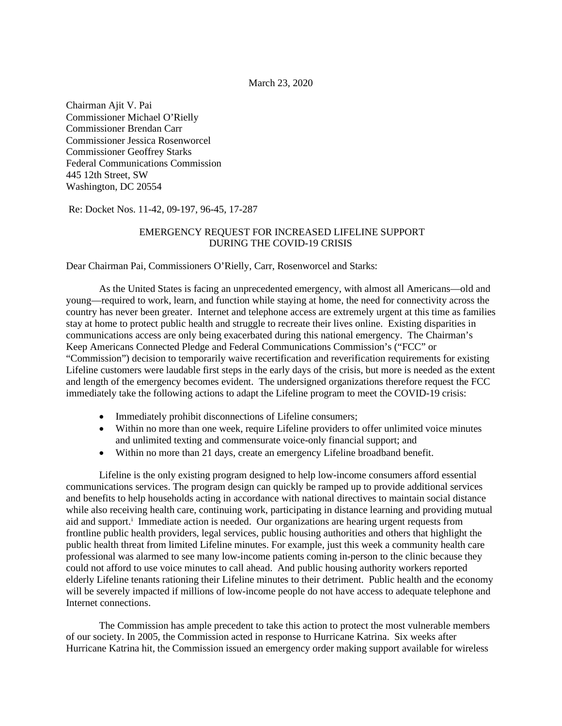March 23, 2020

Chairman Ajit V. Pai Commissioner Michael O'Rielly Commissioner Brendan Carr Commissioner Jessica Rosenworcel Commissioner Geoffrey Starks Federal Communications Commission 445 12th Street, SW Washington, DC 20554

Re: Docket Nos. 11-42, 09-197, 96-45, 17-287

## EMERGENCY REQUEST FOR INCREASED LIFELINE SUPPORT DURING THE COVID-19 CRISIS

Dear Chairman Pai, Commissioners O'Rielly, Carr, Rosenworcel and Starks:

As the United States is facing an unprecedented emergency, with almost all Americans—old and young—required to work, learn, and function while staying at home, the need for connectivity across the country has never been greater. Internet and telephone access are extremely urgent at this time as families stay at home to protect public health and struggle to recreate their lives online. Existing disparities in communications access are only being exacerbated during this national emergency. The Chairman's Keep Americans Connected Pledge and Federal Communications Commission's ("FCC" or "Commission") decision to temporarily waive recertification and reverification requirements for existing Lifeline customers were laudable first steps in the early days of the crisis, but more is needed as the extent and length of the emergency becomes evident. The undersigned organizations therefore request the FCC immediately take the following actions to adapt the Lifeline program to meet the COVID-19 crisis:

- Immediately prohibit disconnections of Lifeline consumers;
- Within no more than one week, require Lifeline providers to offer unlimited voice minutes and unlimited texting and commensurate voice-only financial support; and
- Within no more than 21 days, create an emergency Lifeline broadband benefit.

Lifeline is the only existing program designed to help low-income consumers afford essential communications services. The program design can quickly be ramped up to provide additional services and benefits to help households acting in accordance with national directives to maintain social distance while also receiving health care, continuing work, participating in distance learning and providing mutual a[i](#page-5-0)d and support.<sup>i</sup> Immediate action is needed. Our organizations are hearing urgent requests from frontline public health providers, legal services, public housing authorities and others that highlight the public health threat from limited Lifeline minutes. For example, just this week a community health care professional was alarmed to see many low-income patients coming in-person to the clinic because they could not afford to use voice minutes to call ahead. And public housing authority workers reported elderly Lifeline tenants rationing their Lifeline minutes to their detriment. Public health and the economy will be severely impacted if millions of low-income people do not have access to adequate telephone and Internet connections.

The Commission has ample precedent to take this action to protect the most vulnerable members of our society. In 2005, the Commission acted in response to Hurricane Katrina. Six weeks after Hurricane Katrina hit, the Commission issued an emergency order making support available for wireless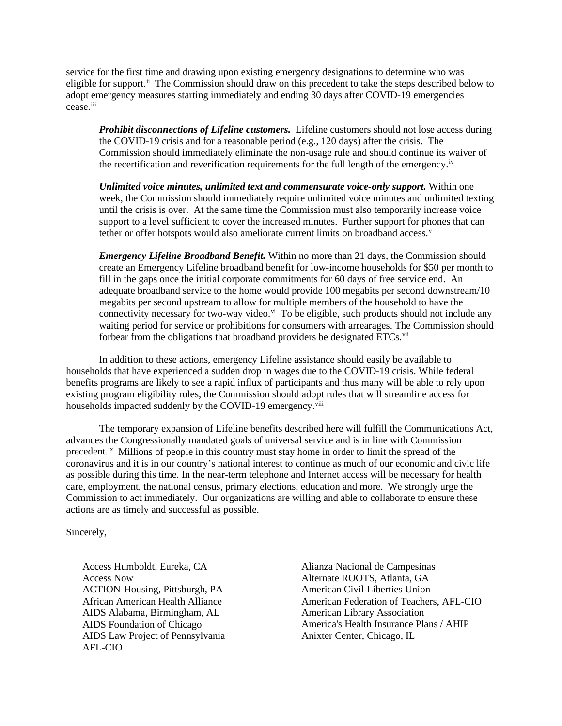service for the first time and drawing upon existing emergency designations to determine who was eligible for support.<sup>[ii](#page-5-1)</sup> The Commission should draw on this precedent to take the steps described below to adopt emergency measures starting immediately and ending 30 days after COVID-19 emergencies cease.[iii](#page-5-2)

*Prohibit disconnections of Lifeline customers.* Lifeline customers should not lose access during the COVID-19 crisis and for a reasonable period (e.g., 120 days) after the crisis. The Commission should immediately eliminate the non-usage rule and should continue its waiver of the recertification and reverification requirements for the full length of the emergency.<sup>[iv](#page-5-3)</sup>

*Unlimited voice minutes, unlimited text and commensurate voice-only support.* Within one week, the Commission should immediately require unlimited voice minutes and unlimited texting until the crisis is over. At the same time the Commission must also temporarily increase voice support to a level sufficient to cover the increased minutes. Further support for phones that can tether or offer hotspots would also ameliorate current limits on broadband access.<sup>[v](#page-5-4)</sup>

*Emergency Lifeline Broadband Benefit.* Within no more than 21 days, the Commission should create an Emergency Lifeline broadband benefit for low-income households for \$50 per month to fill in the gaps once the initial corporate commitments for 60 days of free service end. An adequate broadband service to the home would provide 100 megabits per second downstream/10 megabits per second upstream to allow for multiple members of the household to have the connectivity necessary for two-way video.<sup>vi</sup> To be eligible, such products should not include any waiting period for service or prohibitions for consumers with arrearages. The Commission should forbear from the obligations that broadband providers be designated ETCs.<sup>[vii](#page-5-6)</sup>

In addition to these actions, emergency Lifeline assistance should easily be available to households that have experienced a sudden drop in wages due to the COVID-19 crisis. While federal benefits programs are likely to see a rapid influx of participants and thus many will be able to rely upon existing program eligibility rules, the Commission should adopt rules that will streamline access for households impacted suddenly by the COVID-19 emergency.<sup>viii</sup>

The temporary expansion of Lifeline benefits described here will fulfill the Communications Act, advances the Congressionally mandated goals of universal service and is in line with Commission precedent.[ix](#page-5-8) Millions of people in this country must stay home in order to limit the spread of the coronavirus and it is in our country's national interest to continue as much of our economic and civic life as possible during this time. In the near-term telephone and Internet access will be necessary for health care, employment, the national census, primary elections, education and more. We strongly urge the Commission to act immediately. Our organizations are willing and able to collaborate to ensure these actions are as timely and successful as possible.

Sincerely,

Access Humboldt, Eureka, CA Access Now ACTION-Housing, Pittsburgh, PA African American Health Alliance AIDS Alabama, Birmingham, AL AIDS Foundation of Chicago AIDS Law Project of Pennsylvania AFL-CIO

Alianza Nacional de Campesinas Alternate ROOTS, Atlanta, GA American Civil Liberties Union American Federation of Teachers, AFL-CIO American Library Association America's Health Insurance Plans / AHIP Anixter Center, Chicago, IL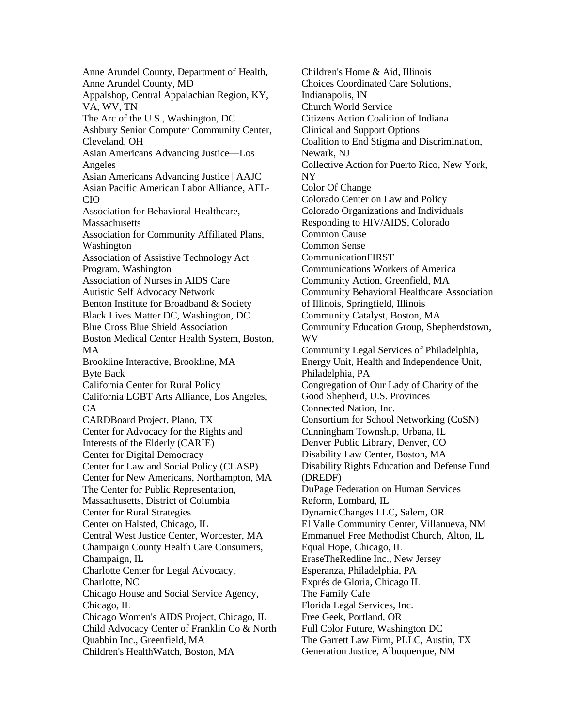Anne Arundel County, Department of Health, Anne Arundel County, MD Appalshop, Central Appalachian Region, KY, VA, WV, TN The Arc of the U.S., Washington, DC Ashbury Senior Computer Community Center, Cleveland, OH Asian Americans Advancing Justice—Los Angeles Asian Americans Advancing Justice | AAJC Asian Pacific American Labor Alliance, AFL-CIO Association for Behavioral Healthcare, **Massachusetts** Association for Community Affiliated Plans, Washington Association of Assistive Technology Act Program, Washington Association of Nurses in AIDS Care Autistic Self Advocacy Network Benton Institute for Broadband & Society Black Lives Matter DC, Washington, DC Blue Cross Blue Shield Association Boston Medical Center Health System, Boston, MA Brookline Interactive, Brookline, MA Byte Back California Center for Rural Policy California LGBT Arts Alliance, Los Angeles, CA CARDBoard Project, Plano, TX Center for Advocacy for the Rights and Interests of the Elderly (CARIE) Center for Digital Democracy Center for Law and Social Policy (CLASP) Center for New Americans, Northampton, MA The Center for Public Representation, Massachusetts, District of Columbia Center for Rural Strategies Center on Halsted, Chicago, IL Central West Justice Center, Worcester, MA Champaign County Health Care Consumers, Champaign, IL Charlotte Center for Legal Advocacy, Charlotte, NC Chicago House and Social Service Agency, Chicago, IL Chicago Women's AIDS Project, Chicago, IL Child Advocacy Center of Franklin Co & North Quabbin Inc., Greenfield, MA Children's HealthWatch, Boston, MA

Children's Home & Aid, Illinois Choices Coordinated Care Solutions, Indianapolis, IN Church World Service Citizens Action Coalition of Indiana Clinical and Support Options Coalition to End Stigma and Discrimination, Newark, NJ Collective Action for Puerto Rico, New York, NY Color Of Change Colorado Center on Law and Policy Colorado Organizations and Individuals Responding to HIV/AIDS, Colorado Common Cause Common Sense CommunicationFIRST Communications Workers of America Community Action, Greenfield, MA Community Behavioral Healthcare Association of Illinois, Springfield, Illinois Community Catalyst, Boston, MA Community Education Group, Shepherdstown, WV Community Legal Services of Philadelphia, Energy Unit, Health and Independence Unit, Philadelphia, PA Congregation of Our Lady of Charity of the Good Shepherd, U.S. Provinces Connected Nation, Inc. Consortium for School Networking (CoSN) Cunningham Township, Urbana, IL Denver Public Library, Denver, CO Disability Law Center, Boston, MA Disability Rights Education and Defense Fund (DREDF) DuPage Federation on Human Services Reform, Lombard, IL DynamicChanges LLC, Salem, OR El Valle Community Center, Villanueva, NM Emmanuel Free Methodist Church, Alton, IL Equal Hope, Chicago, IL EraseTheRedline Inc., New Jersey Esperanza, Philadelphia, PA Exprés de Gloria, Chicago IL The Family Cafe Florida Legal Services, Inc. Free Geek, Portland, OR Full Color Future, Washington DC The Garrett Law Firm, PLLC, Austin, TX Generation Justice, Albuquerque, NM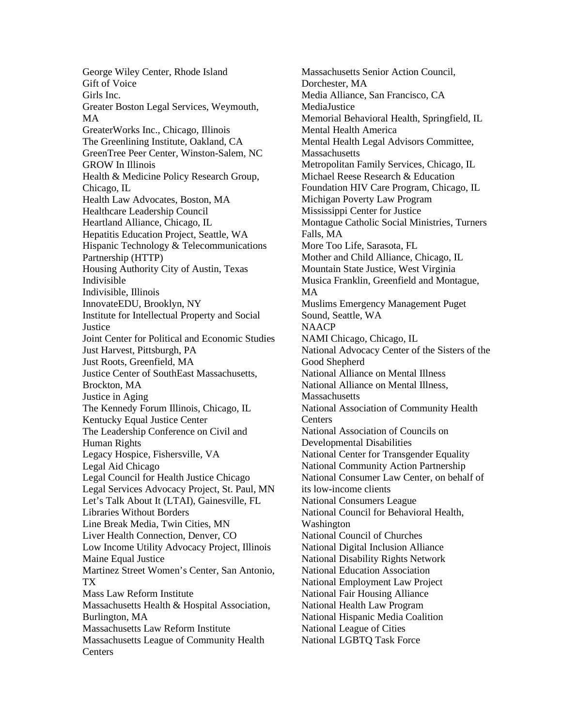George Wiley Center, Rhode Island Gift of Voice Girls Inc. Greater Boston Legal Services, Weymouth, MA GreaterWorks Inc., Chicago, Illinois The Greenlining Institute, Oakland, CA GreenTree Peer Center, Winston-Salem, NC GROW In Illinois Health & Medicine Policy Research Group, Chicago, IL Health Law Advocates, Boston, MA Healthcare Leadership Council Heartland Alliance, Chicago, IL Hepatitis Education Project, Seattle, WA Hispanic Technology & Telecommunications Partnership (HTTP) Housing Authority City of Austin, Texas Indivisible Indivisible, Illinois InnovateEDU, Brooklyn, NY Institute for Intellectual Property and Social **Justice** Joint Center for Political and Economic Studies Just Harvest, Pittsburgh, PA Just Roots, Greenfield, MA Justice Center of SouthEast Massachusetts, Brockton, MA Justice in Aging The Kennedy Forum Illinois, Chicago, IL Kentucky Equal Justice Center The Leadership Conference on Civil and Human Rights Legacy Hospice, Fishersville, VA Legal Aid Chicago Legal Council for Health Justice Chicago Legal Services Advocacy Project, St. Paul, MN Let's Talk About It (LTAI), Gainesville, FL Libraries Without Borders Line Break Media, Twin Cities, MN Liver Health Connection, Denver, CO Low Income Utility Advocacy Project, Illinois Maine Equal Justice Martinez Street Women's Center, San Antonio, TX Mass Law Reform Institute Massachusetts Health & Hospital Association, Burlington, MA Massachusetts Law Reform Institute Massachusetts League of Community Health **Centers** 

Massachusetts Senior Action Council, Dorchester, MA Media Alliance, San Francisco, CA MediaJustice Memorial Behavioral Health, Springfield, IL Mental Health America Mental Health Legal Advisors Committee, **Massachusetts** Metropolitan Family Services, Chicago, IL Michael Reese Research & Education Foundation HIV Care Program, Chicago, IL Michigan Poverty Law Program Mississippi Center for Justice Montague Catholic Social Ministries, Turners Falls, MA More Too Life, Sarasota, FL Mother and Child Alliance, Chicago, IL Mountain State Justice, West Virginia Musica Franklin, Greenfield and Montague, MA Muslims Emergency Management Puget Sound, Seattle, WA **NAACP** NAMI Chicago, Chicago, IL National Advocacy Center of the Sisters of the Good Shepherd National Alliance on Mental Illness National Alliance on Mental Illness, **Massachusetts** National Association of Community Health **Centers** National Association of Councils on Developmental Disabilities National Center for Transgender Equality National Community Action Partnership National Consumer Law Center, on behalf of its low-income clients National Consumers League National Council for Behavioral Health, Washington National Council of Churches National Digital Inclusion Alliance National Disability Rights Network National Education Association National Employment Law Project National Fair Housing Alliance National Health Law Program National Hispanic Media Coalition National League of Cities National LGBTQ Task Force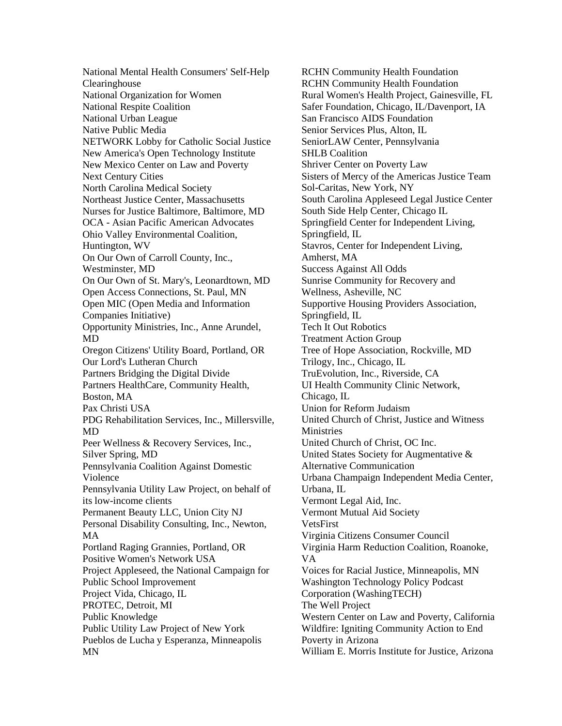National Mental Health Consumers' Self-Help Clearinghouse National Organization for Women National Respite Coalition National Urban League Native Public Media NETWORK Lobby for Catholic Social Justice New America's Open Technology Institute New Mexico Center on Law and Poverty Next Century Cities North Carolina Medical Society Northeast Justice Center, Massachusetts Nurses for Justice Baltimore, Baltimore, MD OCA - Asian Pacific American Advocates Ohio Valley Environmental Coalition, Huntington, WV On Our Own of Carroll County, Inc., Westminster, MD On Our Own of St. Mary's, Leonardtown, MD Open Access Connections, St. Paul, MN Open MIC (Open Media and Information Companies Initiative) Opportunity Ministries, Inc., Anne Arundel, MD Oregon Citizens' Utility Board, Portland, OR Our Lord's Lutheran Church Partners Bridging the Digital Divide Partners HealthCare, Community Health, Boston, MA Pax Christi USA PDG Rehabilitation Services, Inc., Millersville, MD Peer Wellness & Recovery Services, Inc., Silver Spring, MD Pennsylvania Coalition Against Domestic Violence Pennsylvania Utility Law Project, on behalf of its low-income clients Permanent Beauty LLC, Union City NJ Personal Disability Consulting, Inc., Newton, MA Portland Raging Grannies, Portland, OR Positive Women's Network USA Project Appleseed, the National Campaign for Public School Improvement Project Vida, Chicago, IL PROTEC, Detroit, MI Public Knowledge Public Utility Law Project of New York Pueblos de Lucha y Esperanza, Minneapolis MN

RCHN Community Health Foundation RCHN Community Health Foundation Rural Women's Health Project, Gainesville, FL Safer Foundation, Chicago, IL/Davenport, IA San Francisco AIDS Foundation Senior Services Plus, Alton, IL SeniorLAW Center, Pennsylvania SHLB Coalition Shriver Center on Poverty Law Sisters of Mercy of the Americas Justice Team Sol-Caritas, New York, NY South Carolina Appleseed Legal Justice Center South Side Help Center, Chicago IL Springfield Center for Independent Living, Springfield, IL Stavros, Center for Independent Living, Amherst, MA Success Against All Odds Sunrise Community for Recovery and Wellness, Asheville, NC Supportive Housing Providers Association, Springfield, IL Tech It Out Robotics Treatment Action Group Tree of Hope Association, Rockville, MD Trilogy, Inc., Chicago, IL TruEvolution, Inc., Riverside, CA UI Health Community Clinic Network, Chicago, IL Union for Reform Judaism United Church of Christ, Justice and Witness **Ministries** United Church of Christ, OC Inc. United States Society for Augmentative & Alternative Communication Urbana Champaign Independent Media Center, Urbana, IL Vermont Legal Aid, Inc. Vermont Mutual Aid Society VetsFirst Virginia Citizens Consumer Council Virginia Harm Reduction Coalition, Roanoke, VA Voices for Racial Justice, Minneapolis, MN Washington Technology Policy Podcast Corporation (WashingTECH) The Well Project Western Center on Law and Poverty, California Wildfire: Igniting Community Action to End Poverty in Arizona William E. Morris Institute for Justice, Arizona